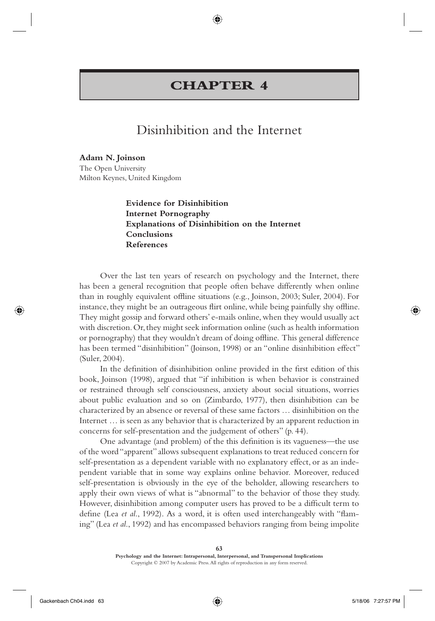# **CHAPTER 4**

⊕

# Disinhibition and the Internet

**Adam N. Joinson** The Open University Milton Keynes, United Kingdom

> **Evidence for Disinhibition Internet Pornography Explanations of Disinhibition on the Internet Conclusions References**

Over the last ten years of research on psychology and the Internet, there has been a general recognition that people often behave differently when online than in roughly equivalent offline situations (e.g., Joinson, 2003; Suler, 2004). For instance, they might be an outrageous flirt online, while being painfully shy offline. They might gossip and forward others' e-mails online, when they would usually act with discretion. Or, they might seek information online (such as health information or pornography) that they wouldn't dream of doing offline. This general difference has been termed "disinhibition" (Joinson, 1998) or an "online disinhibition effect" (Suler, 2004).

In the definition of disinhibition online provided in the first edition of this book, Joinson (1998), argued that "if inhibition is when behavior is constrained or restrained through self consciousness, anxiety about social situations, worries about public evaluation and so on (Zimbardo, 1977), then disinhibition can be characterized by an absence or reversal of these same factors … disinhibition on the Internet … is seen as any behavior that is characterized by an apparent reduction in concerns for self-presentation and the judgement of others" (p. 44).

One advantage (and problem) of the this definition is its vagueness—the use of the word "apparent" allows subsequent explanations to treat reduced concern for self-presentation as a dependent variable with no explanatory effect, or as an independent variable that in some way explains online behavior. Moreover, reduced self-presentation is obviously in the eye of the beholder, allowing researchers to apply their own views of what is "abnormal" to the behavior of those they study. However, disinhibition among computer users has proved to be a difficult term to define (Lea *et al.*, 1992). As a word, it is often used interchangeably with "flaming" (Lea *et al*., 1992) and has encompassed behaviors ranging from being impolite

> **63 Psychology and the Internet: Intrapersonal, Interpersonal, and Transpersonal Implications** Copyright © 2007 by Academic Press. All rights of reproduction in any form reserved.

↔

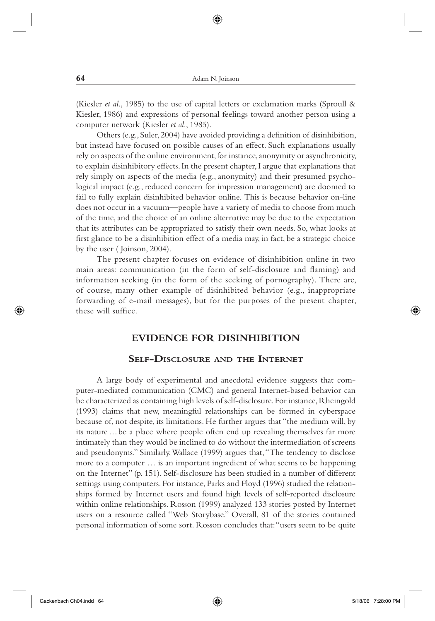(Kiesler *et al*., 1985) to the use of capital letters or exclamation marks (Sproull & Kiesler, 1986) and expressions of personal feelings toward another person using a computer network (Kiesler *et al*., 1985).

Others (e.g., Suler, 2004) have avoided providing a definition of disinhibition, but instead have focused on possible causes of an effect. Such explanations usually rely on aspects of the online environment, for instance, anonymity or asynchronicity, to explain disinhibitory effects. In the present chapter, I argue that explanations that rely simply on aspects of the media (e.g., anonymity) and their presumed psychological impact (e.g., reduced concern for impression management) are doomed to fail to fully explain disinhibited behavior online. This is because behavior on-line does not occur in a vacuum—people have a variety of media to choose from much of the time, and the choice of an online alternative may be due to the expectation that its attributes can be appropriated to satisfy their own needs. So, what looks at first glance to be a disinhibition effect of a media may, in fact, be a strategic choice by the user ( Joinson, 2004).

The present chapter focuses on evidence of disinhibition online in two main areas: communication (in the form of self-disclosure and flaming) and information seeking (in the form of the seeking of pornography). There are, of course, many other example of disinhibited behavior (e.g., inappropriate forwarding of e-mail messages), but for the purposes of the present chapter, these will suffice.

### **EVIDENCE FOR DISINHIBITION**

### **SELF-DISCLOSURE AND THE INTERNET**

A large body of experimental and anecdotal evidence suggests that computer-mediated communication (CMC) and general Internet-based behavior can be characterized as containing high levels of self-disclosure. For instance, Rheingold (1993) claims that new, meaningful relationships can be formed in cyberspace because of, not despite, its limitations. He further argues that "the medium will, by its nature … be a place where people often end up revealing themselves far more intimately than they would be inclined to do without the intermediation of screens and pseudonyms." Similarly, Wallace (1999) argues that, "The tendency to disclose more to a computer … is an important ingredient of what seems to be happening on the Internet" (p. 151). Self-disclosure has been studied in a number of different settings using computers. For instance, Parks and Floyd (1996) studied the relationships formed by Internet users and found high levels of self-reported disclosure within online relationships. Rosson (1999) analyzed 133 stories posted by Internet users on a resource called "Web Storybase." Overall, 81 of the stories contained personal information of some sort. Rosson concludes that: "users seem to be quite

⇔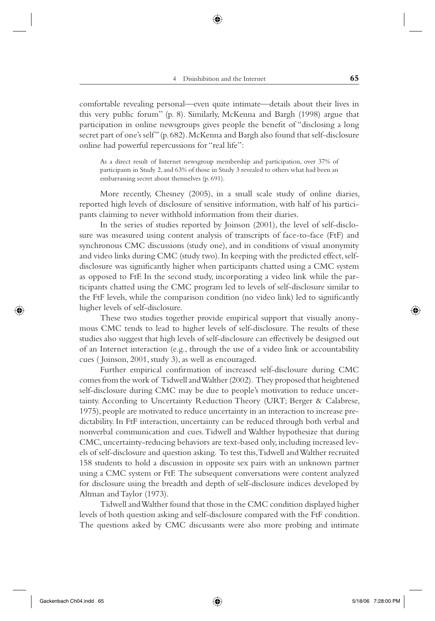comfortable revealing personal—even quite intimate—details about their lives in this very public forum" (p. 8). Similarly, McKenna and Bargh (1998) argue that participation in online newsgroups gives people the benefit of "disclosing a long secret part of one's self" (p. 682). McKenna and Bargh also found that self-disclosure online had powerful repercussions for "real life":

As a direct result of Internet newsgroup membership and participation, over 37% of participants in Study 2, and 63% of those in Study 3 revealed to others what had been an embarrassing secret about themselves (p. 691).

More recently, Chesney (2005), in a small scale study of online diaries, reported high levels of disclosure of sensitive information, with half of his participants claiming to never withhold information from their diaries.

In the series of studies reported by Joinson (2001), the level of self-disclosure was measured using content analysis of transcripts of face-to-face (FtF) and synchronous CMC discussions (study one), and in conditions of visual anonymity and video links during CMC (study two). In keeping with the predicted effect, selfdisclosure was significantly higher when participants chatted using a CMC system as opposed to FtF. In the second study, incorporating a video link while the participants chatted using the CMC program led to levels of self-disclosure similar to the FtF levels, while the comparison condition (no video link) led to significantly higher levels of self-disclosure.

These two studies together provide empirical support that visually anonymous CMC tends to lead to higher levels of self-disclosure. The results of these studies also suggest that high levels of self-disclosure can effectively be designed out of an Internet interaction (e.g., through the use of a video link or accountability cues ( Joinson, 2001, study 3), as well as encouraged.

Further empirical confirmation of increased self-disclosure during CMC comes from the work of Tidwell and Walther (2002). They proposed that heightened self-disclosure during CMC may be due to people's motivation to reduce uncertainty. According to Uncertainty Reduction Theory (URT; Berger & Calabrese, 1975), people are motivated to reduce uncertainty in an interaction to increase predictability. In FtF interaction, uncertainty can be reduced through both verbal and nonverbal communication and cues. Tidwell and Walther hypothesize that during CMC, uncertainty-reducing behaviors are text-based only, including increased levels of self-disclosure and question asking. To test this, Tidwell and Walther recruited 158 students to hold a discussion in opposite sex pairs with an unknown partner using a CMC system or FtF. The subsequent conversations were content analyzed for disclosure using the breadth and depth of self-disclosure indices developed by Altman and Taylor (1973).

Tidwell and Walther found that those in the CMC condition displayed higher levels of both question asking and self-disclosure compared with the FtF condition. The questions asked by CMC discussants were also more probing and intimate

↔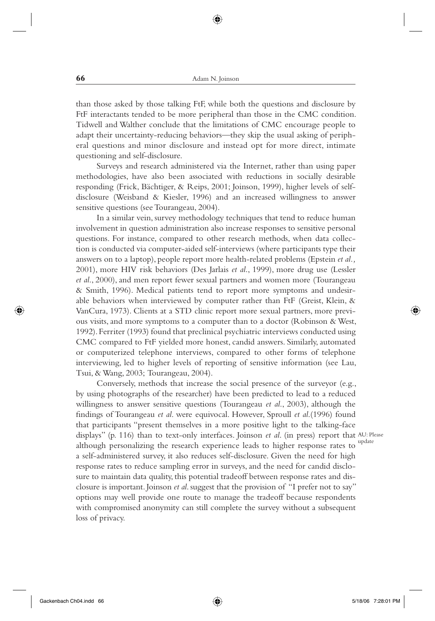**66** Adam N. Joinson

⊕

than those asked by those talking FtF, while both the questions and disclosure by FtF interactants tended to be more peripheral than those in the CMC condition. Tidwell and Walther conclude that the limitations of CMC encourage people to adapt their uncertainty-reducing behaviors—they skip the usual asking of peripheral questions and minor disclosure and instead opt for more direct, intimate questioning and self-disclosure.

Surveys and research administered via the Internet, rather than using paper methodologies, have also been associated with reductions in socially desirable responding (Frick, Bächtiger, & Reips, 2001; Joinson, 1999), higher levels of selfdisclosure (Weisband & Kiesler, 1996) and an increased willingness to answer sensitive questions (see Tourangeau, 2004).

In a similar vein, survey methodology techniques that tend to reduce human involvement in question administration also increase responses to sensitive personal questions. For instance, compared to other research methods, when data collection is conducted via computer-aided self-interviews (where participants type their answers on to a laptop), people report more health-related problems (Epstein *et al.,* 2001), more HIV risk behaviors (Des Jarlais *et al*., 1999), more drug use (Lessler *et al*., 2000), and men report fewer sexual partners and women more (Tourangeau & Smith, 1996). Medical patients tend to report more symptoms and undesirable behaviors when interviewed by computer rather than FtF (Greist, Klein, & VanCura, 1973). Clients at a STD clinic report more sexual partners, more previous visits, and more symptoms to a computer than to a doctor (Robinson & West, 1992). Ferriter (1993) found that preclinical psychiatric interviews conducted using CMC compared to FtF yielded more honest, candid answers. Similarly, automated or computerized telephone interviews, compared to other forms of telephone interviewing, led to higher levels of reporting of sensitive information (see Lau, Tsui, & Wang, 2003; Tourangeau, 2004).

Conversely, methods that increase the social presence of the surveyor (e.g., by using photographs of the researcher) have been predicted to lead to a reduced willingness to answer sensitive questions (Tourangeau *et al*., 2003), although the fi ndings of Tourangeau *et al*. were equivocal. However, Sproull *et al*.(1996) found that participants "present themselves in a more positive light to the talking-face displays" (p. 116) than to text-only interfaces. Joinson *et al.* (in press) report that AU: Please although personalizing the research experience leads to higher response rates to a self-administered survey, it also reduces self-disclosure. Given the need for high response rates to reduce sampling error in surveys, and the need for candid disclosure to maintain data quality, this potential tradeoff between response rates and disclosure is important. Joinson *et al*. suggest that the provision of "I prefer not to say" options may well provide one route to manage the tradeoff because respondents with compromised anonymity can still complete the survey without a subsequent loss of privacy. update

⊕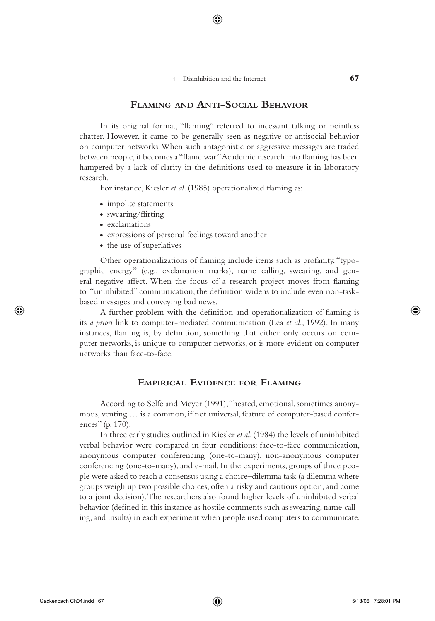### **FLAMING AND ANTI-SOCIAL BEHAVIOR**

In its original format, "flaming" referred to incessant talking or pointless chatter. However, it came to be generally seen as negative or antisocial behavior on computer networks. When such antagonistic or aggressive messages are traded between people, it becomes a "flame war." Academic research into flaming has been hampered by a lack of clarity in the definitions used to measure it in laboratory research.

For instance, Kiesler et al. (1985) operationalized flaming as:

- impolite statements
- swearing/flirting
- exclamations
- expressions of personal feelings toward another
- the use of superlatives

Other operationalizations of flaming include items such as profanity, "typographic energy" (e.g., exclamation marks), name calling, swearing, and general negative affect. When the focus of a research project moves from flaming to "uninhibited" communication, the definition widens to include even non-taskbased messages and conveying bad news.

A further problem with the definition and operationalization of flaming is its *a priori* link to computer-mediated communication (Lea *et al*., 1992). In many instances, flaming is, by definition, something that either only occurs on computer networks, is unique to computer networks, or is more evident on computer networks than face-to-face.

### **EMPIRICAL EVIDENCE FOR FLAMING**

According to Selfe and Meyer (1991), "heated, emotional, sometimes anonymous, venting … is a common, if not universal, feature of computer-based conferences" (p. 170).

In three early studies outlined in Kiesler *et al*. (1984) the levels of uninhibited verbal behavior were compared in four conditions: face-to-face communication, anonymous computer conferencing (one-to-many), non-anonymous computer conferencing (one-to-many), and e-mail. In the experiments, groups of three people were asked to reach a consensus using a choice–dilemma task (a dilemma where groups weigh up two possible choices, often a risky and cautious option, and come to a joint decision). The researchers also found higher levels of uninhibited verbal behavior (defined in this instance as hostile comments such as swearing, name calling, and insults) in each experiment when people used computers to communicate.

⊕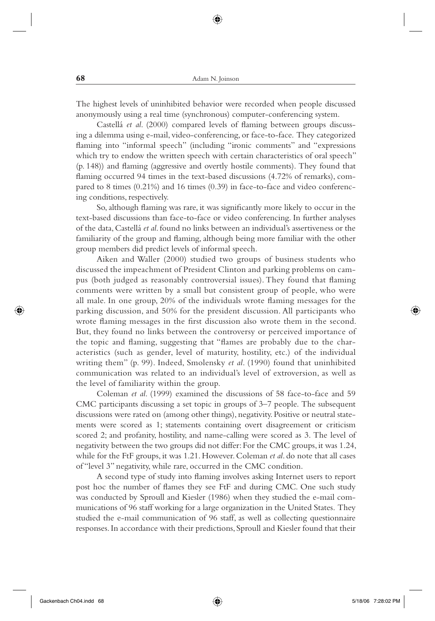The highest levels of uninhibited behavior were recorded when people discussed anonymously using a real time (synchronous) computer-conferencing system.

Castellá et al. (2000) compared levels of flaming between groups discussing a dilemma using e-mail, video-conferencing, or face-to-face. They categorized flaming into "informal speech" (including "ironic comments" and "expressions which try to endow the written speech with certain characteristics of oral speech"  $(p. 148)$ ) and flaming (aggressive and overtly hostile comments). They found that flaming occurred 94 times in the text-based discussions (4.72% of remarks), compared to 8 times (0.21%) and 16 times (0.39) in face-to-face and video conferencing conditions, respectively.

So, although flaming was rare, it was significantly more likely to occur in the text-based discussions than face-to-face or video conferencing. In further analyses of the data, Castellá *et al*. found no links between an individual's assertiveness or the familiarity of the group and flaming, although being more familiar with the other group members did predict levels of informal speech.

Aiken and Waller (2000) studied two groups of business students who discussed the impeachment of President Clinton and parking problems on campus (both judged as reasonably controversial issues). They found that flaming comments were written by a small but consistent group of people, who were all male. In one group, 20% of the individuals wrote flaming messages for the parking discussion, and 50% for the president discussion. All participants who wrote flaming messages in the first discussion also wrote them in the second. But, they found no links between the controversy or perceived importance of the topic and flaming, suggesting that "flames are probably due to the characteristics (such as gender, level of maturity, hostility, etc.) of the individual writing them" (p. 99). Indeed, Smolensky *et al*. (1990) found that uninhibited communication was related to an individual's level of extroversion, as well as the level of familiarity within the group.

Coleman *et al*. (1999) examined the discussions of 58 face-to-face and 59 CMC participants discussing a set topic in groups of 3–7 people. The subsequent discussions were rated on (among other things), negativity. Positive or neutral statements were scored as 1; statements containing overt disagreement or criticism scored 2; and profanity, hostility, and name-calling were scored as 3. The level of negativity between the two groups did not differ: For the CMC groups, it was 1.24, while for the FtF groups, it was 1.21. However. Coleman *et al*. do note that all cases of "level 3" negativity, while rare, occurred in the CMC condition.

A second type of study into flaming involves asking Internet users to report post hoc the number of flames they see FtF and during CMC. One such study was conducted by Sproull and Kiesler (1986) when they studied the e-mail communications of 96 staff working for a large organization in the United States. They studied the e-mail communication of 96 staff, as well as collecting questionnaire responses. In accordance with their predictions, Sproull and Kiesler found that their

⊕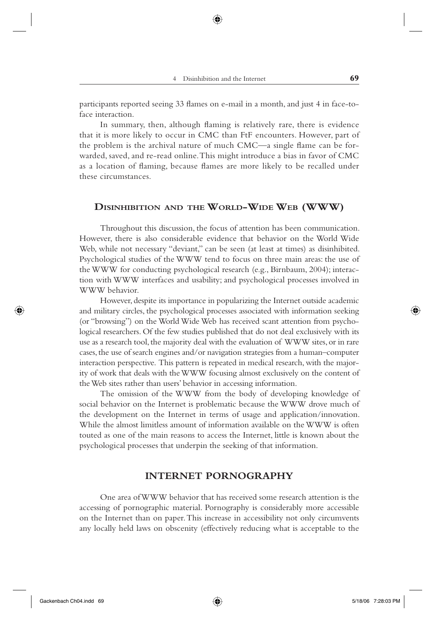participants reported seeing 33 flames on e-mail in a month, and just 4 in face-toface interaction.

In summary, then, although flaming is relatively rare, there is evidence that it is more likely to occur in CMC than FtF encounters. However, part of the problem is the archival nature of much CMC—a single flame can be forwarded, saved, and re-read online. This might introduce a bias in favor of CMC as a location of flaming, because flames are more likely to be recalled under these circumstances.

#### **DISINHIBITION AND THE WORLD-WIDE WEB (WWW)**

Throughout this discussion, the focus of attention has been communication. However, there is also considerable evidence that behavior on the World Wide Web, while not necessary "deviant," can be seen (at least at times) as disinhibited. Psychological studies of the WWW tend to focus on three main areas: the use of the WWW for conducting psychological research (e.g., Birnbaum, 2004); interaction with WWW interfaces and usability; and psychological processes involved in WWW behavior.

However, despite its importance in popularizing the Internet outside academic and military circles, the psychological processes associated with information seeking (or "browsing") on the World Wide Web has received scant attention from psychological researchers. Of the few studies published that do not deal exclusively with its use as a research tool, the majority deal with the evaluation of WWW sites, or in rare cases, the use of search engines and/or navigation strategies from a human–computer interaction perspective. This pattern is repeated in medical research, with the majority of work that deals with the WWW focusing almost exclusively on the content of the Web sites rather than users' behavior in accessing information.

The omission of the WWW from the body of developing knowledge of social behavior on the Internet is problematic because the WWW drove much of the development on the Internet in terms of usage and application/innovation. While the almost limitless amount of information available on the WWW is often touted as one of the main reasons to access the Internet, little is known about the psychological processes that underpin the seeking of that information.

### **INTERNET PORNOGRAPHY**

One area of WWW behavior that has received some research attention is the accessing of pornographic material. Pornography is considerably more accessible on the Internet than on paper. This increase in accessibility not only circumvents any locally held laws on obscenity (effectively reducing what is acceptable to the

⇔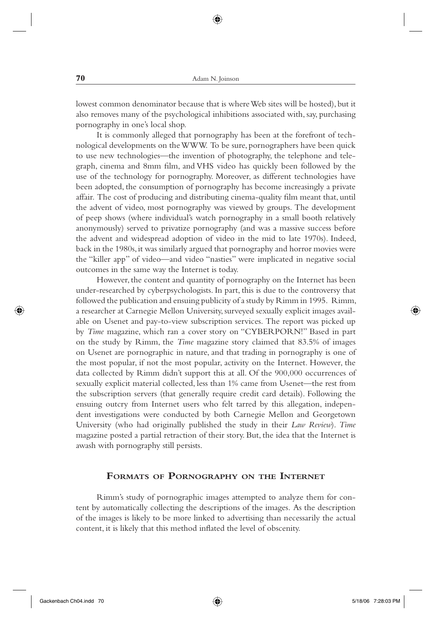lowest common denominator because that is where Web sites will be hosted), but it also removes many of the psychological inhibitions associated with, say, purchasing pornography in one's local shop.

It is commonly alleged that pornography has been at the forefront of technological developments on the WWW. To be sure, pornographers have been quick to use new technologies—the invention of photography, the telephone and telegraph, cinema and 8mm film, and VHS video has quickly been followed by the use of the technology for pornography. Moreover, as different technologies have been adopted, the consumption of pornography has become increasingly a private affair. The cost of producing and distributing cinema-quality film meant that, until the advent of video, most pornography was viewed by groups. The development of peep shows (where individual's watch pornography in a small booth relatively anonymously) served to privatize pornography (and was a massive success before the advent and widespread adoption of video in the mid to late 1970s). Indeed, back in the 1980s, it was similarly argued that pornography and horror movies were the "killer app" of video—and video "nasties" were implicated in negative social outcomes in the same way the Internet is today.

However, the content and quantity of pornography on the Internet has been under-researched by cyberpsychologists. In part, this is due to the controversy that followed the publication and ensuing publicity of a study by Rimm in 1995. Rimm, a researcher at Carnegie Mellon University, surveyed sexually explicit images available on Usenet and pay-to-view subscription services. The report was picked up by *Time* magazine, which ran a cover story on "CYBERPORN!" Based in part on the study by Rimm, the *Time* magazine story claimed that 83.5% of images on Usenet are pornographic in nature, and that trading in pornography is one of the most popular, if not the most popular, activity on the Internet. However, the data collected by Rimm didn't support this at all. Of the 900,000 occurrences of sexually explicit material collected, less than 1% came from Usenet—the rest from the subscription servers (that generally require credit card details). Following the ensuing outcry from Internet users who felt tarred by this allegation, independent investigations were conducted by both Carnegie Mellon and Georgetown University (who had originally published the study in their *Law Review*). *Time* magazine posted a partial retraction of their story. But, the idea that the Internet is awash with pornography still persists.

### **FORMATS OF PORNOGRAPHY ON THE INTERNET**

Rimm's study of pornographic images attempted to analyze them for content by automatically collecting the descriptions of the images. As the description of the images is likely to be more linked to advertising than necessarily the actual content, it is likely that this method inflated the level of obscenity.

⊕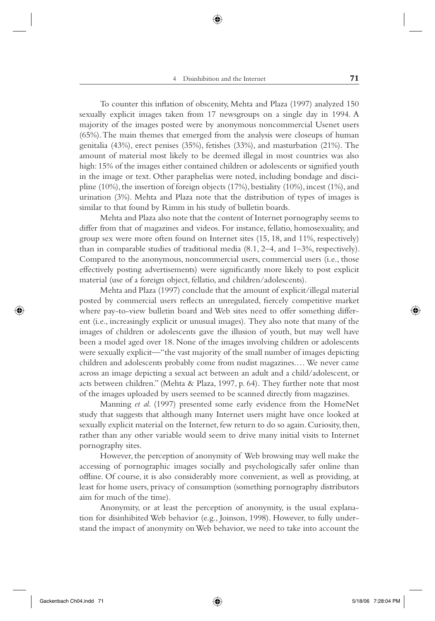4 Disinhibition and the Internet **71**

⊕

To counter this inflation of obscenity, Mehta and Plaza (1997) analyzed 150 sexually explicit images taken from 17 newsgroups on a single day in 1994. A majority of the images posted were by anonymous noncommercial Usenet users (65%). The main themes that emerged from the analysis were closeups of human genitalia (43%), erect penises (35%), fetishes (33%), and masturbation (21%). The amount of material most likely to be deemed illegal in most countries was also high: 15% of the images either contained children or adolescents or signified youth in the image or text. Other paraphelias were noted, including bondage and discipline (10%), the insertion of foreign objects (17%), bestiality (10%), incest (1%), and urination (3%). Mehta and Plaza note that the distribution of types of images is similar to that found by Rimm in his study of bulletin boards.

Mehta and Plaza also note that the content of Internet pornography seems to differ from that of magazines and videos. For instance, fellatio, homosexuality, and group sex were more often found on Internet sites (15, 18, and 11%, respectively) than in comparable studies of traditional media (8.1, 2–4, and 1–3%, respectively). Compared to the anonymous, noncommercial users, commercial users (i.e., those effectively posting advertisements) were significantly more likely to post explicit material (use of a foreign object, fellatio, and children/adolescents).

Mehta and Plaza (1997) conclude that the amount of explicit/illegal material posted by commercial users reflects an unregulated, fiercely competitive market where pay-to-view bulletin board and Web sites need to offer something different (i.e., increasingly explicit or unusual images). They also note that many of the images of children or adolescents gave the illusion of youth, but may well have been a model aged over 18. None of the images involving children or adolescents were sexually explicit—"the vast majority of the small number of images depicting children and adolescents probably come from nudist magazines.… We never came across an image depicting a sexual act between an adult and a child/adolescent, or acts between children." (Mehta & Plaza, 1997, p. 64). They further note that most of the images uploaded by users seemed to be scanned directly from magazines.

Manning *et al*. (1997) presented some early evidence from the HomeNet study that suggests that although many Internet users might have once looked at sexually explicit material on the Internet, few return to do so again. Curiosity, then, rather than any other variable would seem to drive many initial visits to Internet pornography sites.

However, the perception of anonymity of Web browsing may well make the accessing of pornographic images socially and psychologically safer online than offline. Of course, it is also considerably more convenient, as well as providing, at least for home users, privacy of consumption (something pornography distributors aim for much of the time).

Anonymity, or at least the perception of anonymity, is the usual explanation for disinhibited Web behavior (e.g., Joinson, 1998). However, to fully understand the impact of anonymity on Web behavior, we need to take into account the

⇔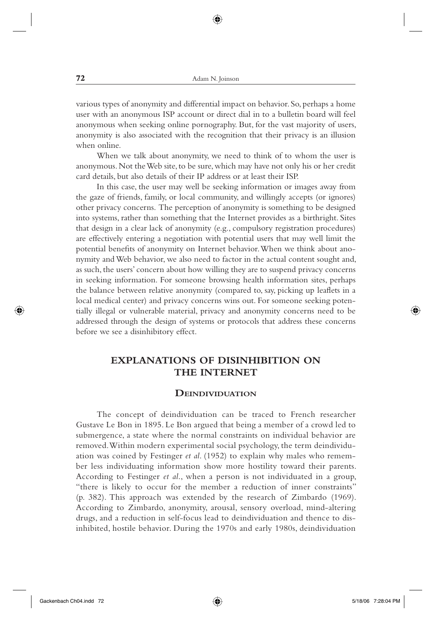various types of anonymity and differential impact on behavior. So, perhaps a home user with an anonymous ISP account or direct dial in to a bulletin board will feel anonymous when seeking online pornography. But, for the vast majority of users, anonymity is also associated with the recognition that their privacy is an illusion when online.

When we talk about anonymity, we need to think of to whom the user is anonymous. Not the Web site, to be sure, which may have not only his or her credit card details, but also details of their IP address or at least their ISP.

In this case, the user may well be seeking information or images away from the gaze of friends, family, or local community, and willingly accepts (or ignores) other privacy concerns. The perception of anonymity is something to be designed into systems, rather than something that the Internet provides as a birthright. Sites that design in a clear lack of anonymity (e.g., compulsory registration procedures) are effectively entering a negotiation with potential users that may well limit the potential benefits of anonymity on Internet behavior. When we think about anonymity and Web behavior, we also need to factor in the actual content sought and, as such, the users' concern about how willing they are to suspend privacy concerns in seeking information. For someone browsing health information sites, perhaps the balance between relative anonymity (compared to, say, picking up leaflets in a local medical center) and privacy concerns wins out. For someone seeking potentially illegal or vulnerable material, privacy and anonymity concerns need to be addressed through the design of systems or protocols that address these concerns before we see a disinhibitory effect.

## **EXPLANATIONS OF DISINHIBITION ON THE INTERNET**

#### **DEINDIVIDUATION**

The concept of deindividuation can be traced to French researcher Gustave Le Bon in 1895. Le Bon argued that being a member of a crowd led to submergence, a state where the normal constraints on individual behavior are removed. Within modern experimental social psychology, the term deindividuation was coined by Festinger *et al*. (1952) to explain why males who remember less individuating information show more hostility toward their parents. According to Festinger *et al*., when a person is not individuated in a group, "there is likely to occur for the member a reduction of inner constraints" (p. 382). This approach was extended by the research of Zimbardo (1969). According to Zimbardo, anonymity, arousal, sensory overload, mind-altering drugs, and a reduction in self-focus lead to deindividuation and thence to disinhibited, hostile behavior. During the 1970s and early 1980s, deindividuation

⇔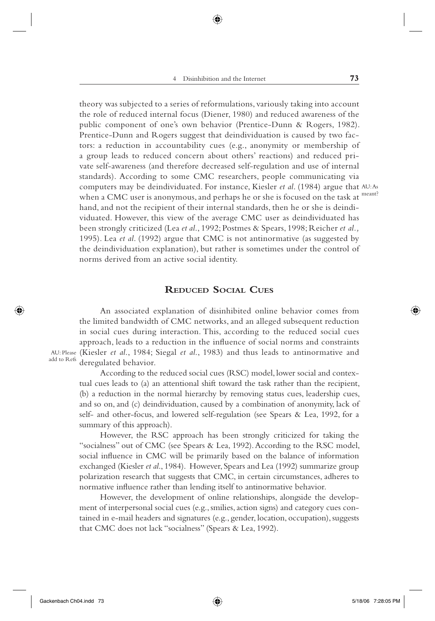4 Disinhibition and the Internet **73**

⊕

theory was subjected to a series of reformulations, variously taking into account the role of reduced internal focus (Diener, 1980) and reduced awareness of the public component of one's own behavior (Prentice-Dunn & Rogers, 1982). Prentice-Dunn and Rogers suggest that deindividuation is caused by two factors: a reduction in accountability cues (e.g., anonymity or membership of a group leads to reduced concern about others' reactions) and reduced private self-awareness (and therefore decreased self-regulation and use of internal standards). According to some CMC researchers, people communicating via computers may be deindividuated. For instance, Kiesler *et al*. (1984) argue that AU: As when a CMC user is anonymous, and perhaps he or she is focused on the task at hand, and not the recipient of their internal standards, then he or she is deindividuated. However, this view of the average CMC user as deindividuated has been strongly criticized (Lea *et al*., 1992; Postmes & Spears, 1998; Reicher *et al.,* 1995). Lea *et al*. (1992) argue that CMC is not antinormative (as suggested by the deindividuation explanation), but rather is sometimes under the control of norms derived from an active social identity. meant?

### **REDUCED SOCIAL CUES**

An associated explanation of disinhibited online behavior comes from the limited bandwidth of CMC networks, and an alleged subsequent reduction in social cues during interaction. This, according to the reduced social cues approach, leads to a reduction in the influence of social norms and constraints (Kiesler *et al*., 1984; Siegal *et al*., 1983) and thus leads to antinormative and AU: Please deregulated behavior.

According to the reduced social cues (RSC) model, lower social and contextual cues leads to (a) an attentional shift toward the task rather than the recipient, (b) a reduction in the normal hierarchy by removing status cues, leadership cues, and so on, and (c) deindividuation, caused by a combination of anonymity, lack of self- and other-focus, and lowered self-regulation (see Spears & Lea, 1992, for a summary of this approach).

However, the RSC approach has been strongly criticized for taking the "socialness" out of CMC (see Spears & Lea, 1992). According to the RSC model, social influence in CMC will be primarily based on the balance of information exchanged (Kiesler *et al*., 1984). However, Spears and Lea (1992) summarize group polarization research that suggests that CMC, in certain circumstances, adheres to normative influence rather than lending itself to antinormative behavior.

However, the development of online relationships, alongside the development of interpersonal social cues (e.g., smilies, action signs) and category cues contained in e-mail headers and signatures (e.g., gender, location, occupation), suggests that CMC does not lack "socialness" (Spears & Lea, 1992).

add to Refs

⊕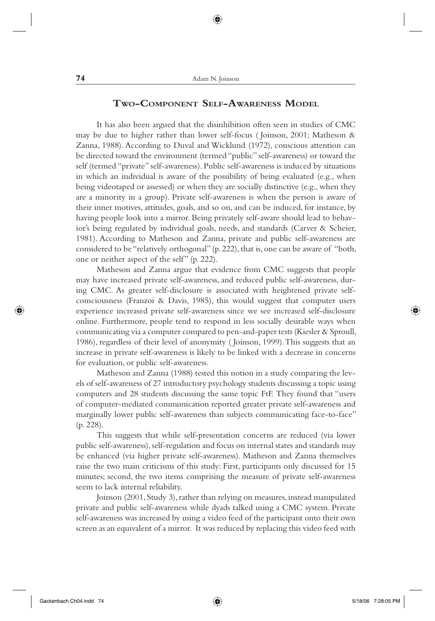**74** Adam N. Joinson

⊕

### **TWO-COMPONENT SELF-AWARENESS MODEL**

It has also been argued that the disinhibition often seen in studies of CMC may be due to higher rather than lower self-focus ( Joinson, 2001; Matheson & Zanna, 1988). According to Duval and Wicklund (1972), conscious attention can be directed toward the environment (termed "public" self-awareness) or toward the self (termed "private" self-awareness). Public self-awareness is induced by situations in which an individual is aware of the possibility of being evaluated (e.g., when being videotaped or assessed) or when they are socially distinctive (e.g., when they are a minority in a group). Private self-awareness is when the person is aware of their inner motives, attitudes, goals, and so on, and can be induced, for instance, by having people look into a mirror. Being privately self-aware should lead to behavior's being regulated by individual goals, needs, and standards (Carver & Scheier, 1981). According to Matheson and Zanna, private and public self-awareness are considered to be "relatively orthogonal" (p. 222), that is, one can be aware of "both, one or neither aspect of the self" (p. 222).

Matheson and Zanna argue that evidence from CMC suggests that people may have increased private self-awareness, and reduced public self-awareness, during CMC. As greater self-disclosure is associated with heightened private selfconsciousness (Franzoi & Davis, 1985), this would suggest that computer users experience increased private self-awareness since we see increased self-disclosure online. Furthermore, people tend to respond in less socially desirable ways when communicating via a computer compared to pen-and-paper tests (Kiesler & Sproull, 1986), regardless of their level of anonymity ( Joinson, 1999). This suggests that an increase in private self-awareness is likely to be linked with a decrease in concerns for evaluation, or public self-awareness.

Matheson and Zanna (1988) tested this notion in a study comparing the levels of self-awareness of 27 introductory psychology students discussing a topic using computers and 28 students discussing the same topic FtF. They found that "users of computer-mediated communication reported greater private self-awareness and marginally lower public self-awareness than subjects communicating face-to-face" (p. 228).

This suggests that while self-presentation concerns are reduced (via lower public self-awareness), self-regulation and focus on internal states and standards may be enhanced (via higher private self-awareness). Matheson and Zanna themselves raise the two main criticisms of this study: First, participants only discussed for 15 minutes; second, the two items comprising the measure of private self-awareness seem to lack internal reliability.

Joinson (2001, Study 3), rather than relying on measures, instead manipulated private and public self-awareness while dyads talked using a CMC system. Private self-awareness was increased by using a video feed of the participant onto their own screen as an equivalent of a mirror. It was reduced by replacing this video feed with

↔

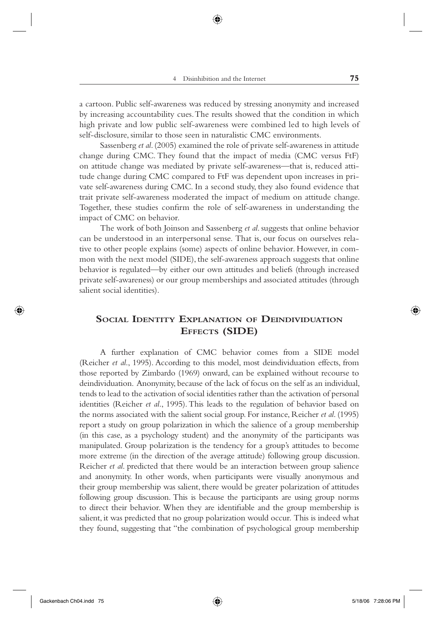a cartoon. Public self-awareness was reduced by stressing anonymity and increased by increasing accountability cues. The results showed that the condition in which high private and low public self-awareness were combined led to high levels of self-disclosure, similar to those seen in naturalistic CMC environments.

Sassenberg *et al*. (2005) examined the role of private self-awareness in attitude change during CMC. They found that the impact of media (CMC versus FtF) on attitude change was mediated by private self-awareness—that is, reduced attitude change during CMC compared to FtF was dependent upon increases in private self-awareness during CMC. In a second study, they also found evidence that trait private self-awareness moderated the impact of medium on attitude change. Together, these studies confirm the role of self-awareness in understanding the impact of CMC on behavior.

The work of both Joinson and Sassenberg *et al*. suggests that online behavior can be understood in an interpersonal sense. That is, our focus on ourselves relative to other people explains (some) aspects of online behavior. However, in common with the next model (SIDE), the self-awareness approach suggests that online behavior is regulated—by either our own attitudes and beliefs (through increased private self-awareness) or our group memberships and associated attitudes (through salient social identities).

## **SOCIAL IDENTITY EXPLANATION OF DEINDIVIDUATION EFFECTS (SIDE)**

A further explanation of CMC behavior comes from a SIDE model (Reicher *et al*., 1995). According to this model, most deindividuation effects, from those reported by Zimbardo (1969) onward, can be explained without recourse to deindividuation. Anonymity, because of the lack of focus on the self as an individual, tends to lead to the activation of social identities rather than the activation of personal identities (Reicher *et al*., 1995). This leads to the regulation of behavior based on the norms associated with the salient social group. For instance, Reicher *et al*. (1995) report a study on group polarization in which the salience of a group membership (in this case, as a psychology student) and the anonymity of the participants was manipulated. Group polarization is the tendency for a group's attitudes to become more extreme (in the direction of the average attitude) following group discussion. Reicher *et al*. predicted that there would be an interaction between group salience and anonymity. In other words, when participants were visually anonymous and their group membership was salient, there would be greater polarization of attitudes following group discussion. This is because the participants are using group norms to direct their behavior. When they are identifiable and the group membership is salient, it was predicted that no group polarization would occur. This is indeed what they found, suggesting that "the combination of psychological group membership

⊕

↔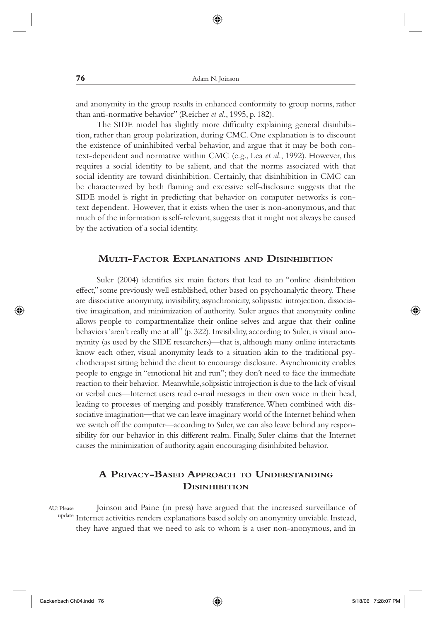and anonymity in the group results in enhanced conformity to group norms, rather than anti-normative behavior" (Reicher *et al*., 1995, p. 182).

The SIDE model has slightly more difficulty explaining general disinhibition, rather than group polarization, during CMC. One explanation is to discount the existence of uninhibited verbal behavior, and argue that it may be both context-dependent and normative within CMC (e.g., Lea *et al*., 1992). However, this requires a social identity to be salient, and that the norms associated with that social identity are toward disinhibition. Certainly, that disinhibition in CMC can be characterized by both flaming and excessive self-disclosure suggests that the SIDE model is right in predicting that behavior on computer networks is context dependent. However, that it exists when the user is non-anonymous, and that much of the information is self-relevant, suggests that it might not always be caused by the activation of a social identity.

### **MULTI-FACTOR EXPLANATIONS AND DISINHIBITION**

Suler (2004) identifies six main factors that lead to an "online disinhibition effect," some previously well established, other based on psychoanalytic theory. These are dissociative anonymity, invisibility, asynchronicity, solipsistic introjection, dissociative imagination, and minimization of authority. Suler argues that anonymity online allows people to compartmentalize their online selves and argue that their online behaviors 'aren't really me at all" (p. 322). Invisibility, according to Suler, is visual anonymity (as used by the SIDE researchers)—that is, although many online interactants know each other, visual anonymity leads to a situation akin to the traditional psychotherapist sitting behind the client to encourage disclosure. Asynchronicity enables people to engage in "emotional hit and run"; they don't need to face the immediate reaction to their behavior. Meanwhile, solipsistic introjection is due to the lack of visual or verbal cues—Internet users read e-mail messages in their own voice in their head, leading to processes of merging and possibly transference. When combined with dissociative imagination—that we can leave imaginary world of the Internet behind when we switch off the computer—according to Suler, we can also leave behind any responsibility for our behavior in this different realm. Finally, Suler claims that the Internet causes the minimization of authority, again encouraging disinhibited behavior.

## **A PRIVACY-BASED APPROACH TO UNDERSTANDING DISINHIBITION**

Joinson and Paine (in press) have argued that the increased surveillance of update Internet activities renders explanations based solely on anonymity unviable. Instead, they have argued that we need to ask to whom is a user non-anonymous, and in AU: Please

↔

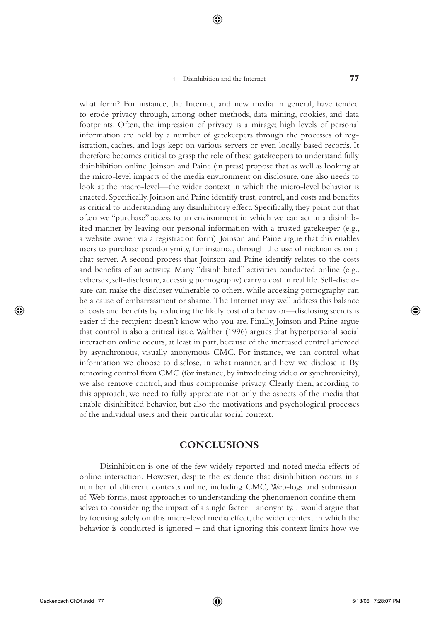4 Disinhibition and the Internet **77**

⊕

what form? For instance, the Internet, and new media in general, have tended to erode privacy through, among other methods, data mining, cookies, and data footprints. Often, the impression of privacy is a mirage; high levels of personal information are held by a number of gatekeepers through the processes of registration, caches, and logs kept on various servers or even locally based records. It therefore becomes critical to grasp the role of these gatekeepers to understand fully disinhibition online. Joinson and Paine (in press) propose that as well as looking at the micro-level impacts of the media environment on disclosure, one also needs to look at the macro-level—the wider context in which the micro-level behavior is enacted. Specifically, Joinson and Paine identify trust, control, and costs and benefits as critical to understanding any disinhibitory effect. Specifically, they point out that often we "purchase" access to an environment in which we can act in a disinhibited manner by leaving our personal information with a trusted gatekeeper (e.g., a website owner via a registration form). Joinson and Paine argue that this enables users to purchase pseudonymity, for instance, through the use of nicknames on a chat server. A second process that Joinson and Paine identify relates to the costs and benefits of an activity. Many "disinhibited" activities conducted online (e.g., cybersex, self-disclosure, accessing pornography) carry a cost in real life. Self-disclosure can make the discloser vulnerable to others, while accessing pornography can be a cause of embarrassment or shame. The Internet may well address this balance of costs and benefits by reducing the likely cost of a behavior—disclosing secrets is easier if the recipient doesn't know who you are. Finally, Joinson and Paine argue that control is also a critical issue. Walther (1996) argues that hyperpersonal social interaction online occurs, at least in part, because of the increased control afforded by asynchronous, visually anonymous CMC. For instance, we can control what information we choose to disclose, in what manner, and how we disclose it. By removing control from CMC (for instance, by introducing video or synchronicity), we also remove control, and thus compromise privacy. Clearly then, according to this approach, we need to fully appreciate not only the aspects of the media that enable disinhibited behavior, but also the motivations and psychological processes of the individual users and their particular social context.

### **CONCLUSIONS**

Disinhibition is one of the few widely reported and noted media effects of online interaction. However, despite the evidence that disinhibition occurs in a number of different contexts online, including CMC, Web-logs and submission of Web forms, most approaches to understanding the phenomenon confine themselves to considering the impact of a single factor—anonymity. I would argue that by focusing solely on this micro-level media effect, the wider context in which the behavior is conducted is ignored – and that ignoring this context limits how we

⇔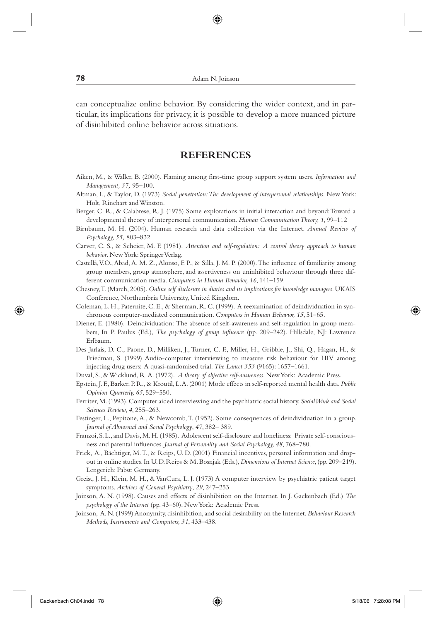can conceptualize online behavior. By considering the wider context, and in particular, its implications for privacy, it is possible to develop a more nuanced picture of disinhibited online behavior across situations.

### **REFERENCES**

- Aiken, M., & Waller, B. (2000). Flaming among first-time group support system users. *Information and Management, 37,* 95–100.
- Altman, I., & Taylor, D. (1973) *Social penetration: The development of interpersonal relationships*. New York: Holt, Rinehart and Winston.
- Berger, C. R., & Calabrese, R. J. (1975) Some explorations in initial interaction and beyond: Toward a developmental theory of interpersonal communication. *Human Communication Theory, 1*, 99–112
- Birnbaum, M. H. (2004). Human research and data collection via the Internet. *Annual Review of Psychology, 55,* 803–832.
- Carver, C. S., & Scheier, M. F. (1981). *Attention and self-regulation: A control theory approach to human behavior*. New York: Springer Verlag.
- Castellá, V.O., Abad, A. M. Z., Alonso, F. P., & Silla, J. M. P. (2000). The influence of familiarity among group members, group atmosphere, and assertiveness on uninhibited behaviour through three different communication media. *Computers in Human Behavior, 16*, 141–159.
- Chesney, T. (March, 2005). *Online self disclosure in diaries and its implications for knowledge managers*. UKAIS Conference, Northumbria University, United Kingdom.
- Coleman, L. H., Paternite, C. E., & Sherman, R. C. (1999). A reexamination of deindividuation in synchronous computer-mediated communication. *Computers in Human Behavior, 15*, 51–65.
- Diener, E. (1980). Deindividuation: The absence of self-awareness and self-regulation in group members, In P. Paulus (Ed.), *The psychology of group influence* (pp. 209-242). Hillsdale, NJ: Lawrence Erlbaum.
- Des Jarlais, D. C., Paone, D., Milliken, J., Turner, C. F., Miller, H., Gribble, J., Shi, Q., Hagan, H., & Friedman, S. (1999) Audio-computer interviewing to measure risk behaviour for HIV among injecting drug users: A quasi-randomised trial. *The Lancet 353* (9165): 1657–1661.
- Duval, S., & Wicklund, R. A. (1972). *A theory of objective self-awareness*. New York: Academic Press.
- Epstein, J. F., Barker, P. R., & Kroutil, L. A. (2001) Mode effects in self-reported mental health data. *Public Opinion Quarterly, 65*, 529–550.
- Ferriter, M. (1993). Computer aided interviewing and the psychiatric social history. *Social Work and Social Sciences Review*, *4*, 255–263.
- Festinger, L., Pepitone, A., & Newcomb, T. (1952). Some consequences of deindividuation in a group. *Journal of Abnormal and Social Psychology*, *47*, 382– 389.
- Franzoi, S. L., and Davis, M. H. (1985). Adolescent self-disclosure and loneliness: Private self-consciousness and parental influences. *Journal of Personality and Social Psychology*, 48, 768–780.
- Frick, A., Bächtiger, M. T., & Reips, U. D. (2001) Financial incentives, personal information and dropout in online studies. In U. D. Reips & M. Bosnjak (Eds.), *Dimensions of Internet Science*, (pp. 209–219). Lengerich: Pabst: Germany.
- Greist, J. H., Klein, M. H., & VanCura, L. J. (1973) A computer interview by psychiatric patient target symptoms. *Archives of General Psychiatry*, *29*, 247–253
- Joinson, A. N. (1998). Causes and effects of disinhibition on the Internet. In J. Gackenbach (Ed.) *The psychology of the Internet* (pp. 43–60). New York: Academic Press.
- Joinson, A. N. (1999) Anonymity, disinhibition, and social desirability on the Internet. *Behaviour Research Methods, Instruments and Computers, 31*, 433–438.

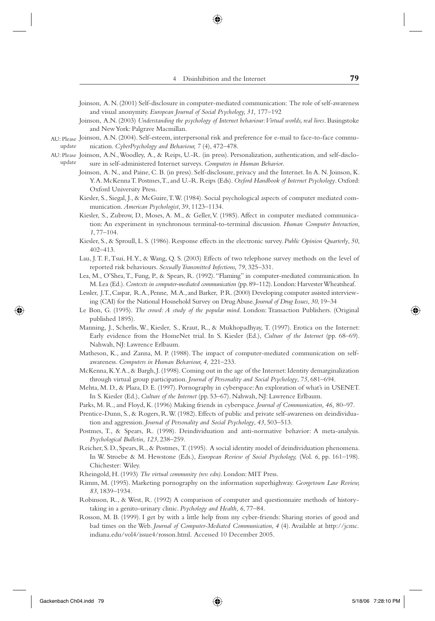- Joinson, A. N. (2001) Self-disclosure in computer-mediated communication: The role of self-awareness and visual anonymity. *European Journal of Social Psychology, 31,* 177–192
- Joinson, A.N. (2003) *Understanding the psychology of Internet behaviour: Virtual worlds, real lives*. Basingstoke and New York: Palgrave Macmillan.
- AU: Please Joinson, A.N. (2004). Self-esteem, interpersonal risk and preference for e-mail to face-to-face communication. *CyberPsychology and Behaviour, 7* (4), 472–478. update
- AU: Please Joinson, A.N., Woodley, A., & Reips, U.-R. (in press). Personalization, authentication, and self-disclosure in self-administered Internet surveys. *Computers in Human Behavior*. update
	- Joinson, A. N., and Paine, C. B. (in press). Self-disclosure, privacy and the Internet. In A. N. Joinson, K. Y. A. McKenna T. Postmes, T., and U.-R. Reips (Eds). *Oxford Handbook of Internet Psychology*. Oxford: Oxford University Press.
	- Kiesler, S., Siegal, J., & McGuire, T. W. (1984). Social psychological aspects of computer mediated communication. *American Psychologist*, 39, 1123–1134.
	- Kiesler, S., Zubrow, D., Moses, A. M., & Geller, V. (1985). Affect in computer mediated communication: An experiment in synchronous terminal-to-terminal discussion. *Human Computer Interaction*, *1*, 77–104.
	- Kiesler, S., & Sproull, L. S. (1986). Response effects in the electronic survey. *Public Opinion Quarterly*, *50*, 402–413.
	- Lau, J. T. F., Tsui, H. Y., & Wang, Q. S. (2003) Effects of two telephone survey methods on the level of reported risk behaviours. *Sexually Transmitted Infections, 79*, 325–331.
	- Lea, M., O'Shea, T., Fung, P., & Spears, R. (1992). "Flaming" in computer-mediated communication. In M. Lea (Ed.). *Contexts in computer-mediated communication* (pp. 89–112). London: Harvester Wheatsheaf.
	- Lessler, J.T., Caspar, R.A., Penne, M.A., and Barker, P.R. (2000) Developing computer assisted interviewing (CAI) for the National Household Survey on Drug Abuse. *Journal of Drug Issues*, *30*, 19–34
	- Le Bon, G. (1995). *The crowd: A study of the popular mind*. London: Transaction Publishers. (Original published 1895).
	- Manning, J., Scherlis, W., Kiesler, S., Kraut, R., & Mukhopadhyay, T. (1997). Erotica on the Internet: Early evidence from the HomeNet trial. In S. Kiesler (Ed.), *Culture of the Internet* (pp. 68–69). Nahwah, NJ: Lawrence Erlbaum.
	- Matheson, K., and Zanna, M. P. (1988). The impact of computer-mediated communication on selfawareness. *Computers in Human Behaviour, 4,* 221–233.
	- McKenna, K. Y. A., & Bargh, J. (1998). Coming out in the age of the Internet: Identity demarginalization through virtual group participation. *Journal of Personality and Social Psychology*, *75*, 681–694.
	- Mehta, M. D., & Plaza, D. E. (1997). Pornography in cyberspace: An exploration of what's in USENET. In S. Kiesler (Ed.), *Culture of the Internet* (pp. 53–67). Nahwah, NJ: Lawrence Erlbaum.
	- Parks, M. R., and Floyd, K. (1996) Making friends in cyberspace. *Journal of Communication, 46,* 80–97.
	- Prentice-Dunn, S., & Rogers, R. W. (1982). Effects of public and private self-awareness on deindividuation and aggression. *Journal of Personality and Social Psychology*, *43*, 503–513.
	- Postmes, T., & Spears, R. (1998). Deindividuation and anti-normative behavior: A meta-analysis. *Psychological Bulletin, 123*, 238–259.
	- Reicher, S. D., Spears, R., & Postmes, T. (1995). A social identity model of deindividuation phenomena. In W. Stroebe & M. Hewstone (Eds.), *European Review of Social Psychology,* (Vol. *6*, pp. 161–198). Chichester: Wiley.
	- Rheingold, H. (1993) *The virtual community (rev. edn)*. London: MIT Press.
	- Rimm, M. (1995). Marketing pornography on the information superhighway. *Georgetown Law Review, 83*, 1839–1934.
	- Robinson, R., & West, R. (1992) A comparison of computer and questionnaire methods of historytaking in a genito-urinary clinic. *Psychology and Health, 6*, 77–84.
	- Rosson, M. B. (1999). I get by with a little help from my cyber-friends: Sharing stories of good and bad times on the Web. *Journal of Computer-Mediated Communication*, *4* (4). Available at http://jcmc. indiana.edu/vol4/issue4/rosson.html. Accessed 10 December 2005.